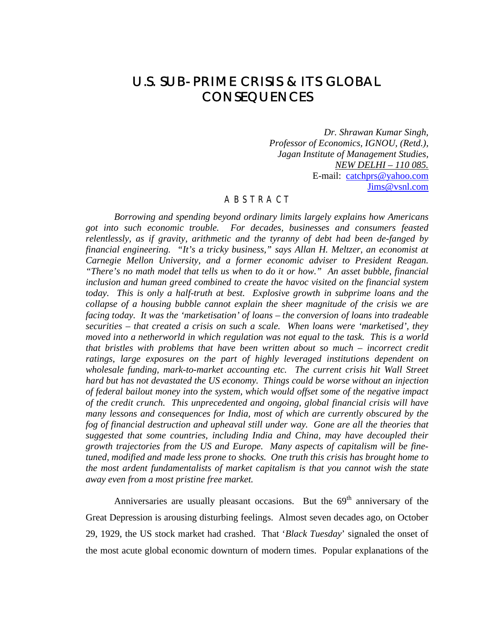# U.S. SUB-PRIME CRISIS & ITS GLOBAL **CONSEQUENCES**

*Dr. Shrawan Kumar Singh, Professor of Economics, IGNOU, (Retd.), Jagan Institute of Management Studies, NEW DELHI – 110 085.* E-mail: catchprs@yahoo.com Jims@vsnl.com

#### A B S T R A C T

*Borrowing and spending beyond ordinary limits largely explains how Americans got into such economic trouble. For decades, businesses and consumers feasted relentlessly, as if gravity, arithmetic and the tyranny of debt had been de-fanged by financial engineering. "It's a tricky business," says Allan H. Meltzer, an economist at Carnegie Mellon University, and a former economic adviser to President Reagan. "There's no math model that tells us when to do it or how." An asset bubble, financial inclusion and human greed combined to create the havoc visited on the financial system today. This is only a half-truth at best. Explosive growth in subprime loans and the collapse of a housing bubble cannot explain the sheer magnitude of the crisis we are facing today. It was the 'marketisation' of loans – the conversion of loans into tradeable securities – that created a crisis on such a scale. When loans were 'marketised', they moved into a netherworld in which regulation was not equal to the task. This is a world that bristles with problems that have been written about so much – incorrect credit ratings, large exposures on the part of highly leveraged institutions dependent on wholesale funding, mark-to-market accounting etc. The current crisis hit Wall Street hard but has not devastated the US economy. Things could be worse without an injection of federal bailout money into the system, which would offset some of the negative impact of the credit crunch. This unprecedented and ongoing, global financial crisis will have many lessons and consequences for India, most of which are currently obscured by the fog of financial destruction and upheaval still under way. Gone are all the theories that suggested that some countries, including India and China, may have decoupled their growth trajectories from the US and Europe. Many aspects of capitalism will be finetuned, modified and made less prone to shocks. One truth this crisis has brought home to the most ardent fundamentalists of market capitalism is that you cannot wish the state away even from a most pristine free market.*

Anniversaries are usually pleasant occasions. But the  $69<sup>th</sup>$  anniversary of the Great Depression is arousing disturbing feelings. Almost seven decades ago, on October 29, 1929, the US stock market had crashed. That '*Black Tuesday*' signaled the onset of the most acute global economic downturn of modern times. Popular explanations of the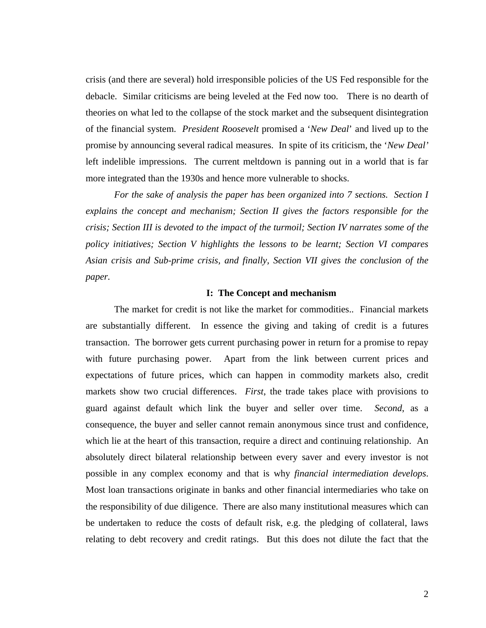crisis (and there are several) hold irresponsible policies of the US Fed responsible for the debacle. Similar criticisms are being leveled at the Fed now too. There is no dearth of theories on what led to the collapse of the stock market and the subsequent disintegration of the financial system. *President Roosevelt* promised a '*New Deal*' and lived up to the promise by announcing several radical measures. In spite of its criticism, the '*New Deal'* left indelible impressions. The current meltdown is panning out in a world that is far more integrated than the 1930s and hence more vulnerable to shocks.

*For the sake of analysis the paper has been organized into 7 sections. Section I explains the concept and mechanism; Section II gives the factors responsible for the crisis; Section III is devoted to the impact of the turmoil; Section IV narrates some of the policy initiatives; Section V highlights the lessons to be learnt; Section VI compares Asian crisis and Sub-prime crisis, and finally, Section VII gives the conclusion of the paper.* 

#### **I: The Concept and mechanism**

The market for credit is not like the market for commodities.. Financial markets are substantially different. In essence the giving and taking of credit is a futures transaction. The borrower gets current purchasing power in return for a promise to repay with future purchasing power. Apart from the link between current prices and expectations of future prices, which can happen in commodity markets also, credit markets show two crucial differences. *First*, the trade takes place with provisions to guard against default which link the buyer and seller over time. *Second*, as a consequence, the buyer and seller cannot remain anonymous since trust and confidence, which lie at the heart of this transaction, require a direct and continuing relationship. An absolutely direct bilateral relationship between every saver and every investor is not possible in any complex economy and that is why *financial intermediation develops*. Most loan transactions originate in banks and other financial intermediaries who take on the responsibility of due diligence. There are also many institutional measures which can be undertaken to reduce the costs of default risk, e.g. the pledging of collateral, laws relating to debt recovery and credit ratings. But this does not dilute the fact that the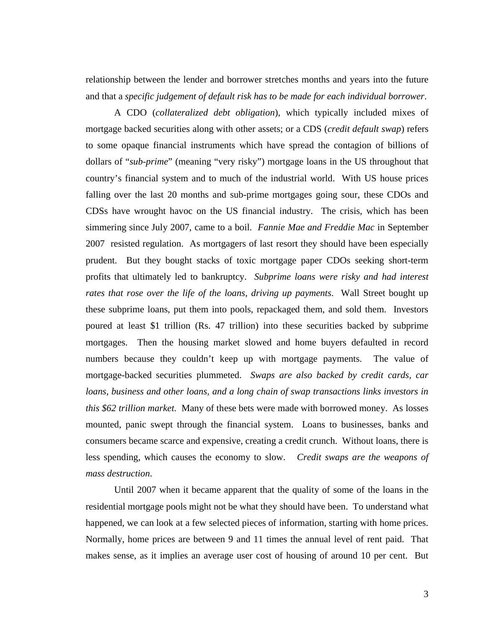relationship between the lender and borrower stretches months and years into the future and that a *specific judgement of default risk has to be made for each individual borrower*.

A CDO (*collateralized debt obligation*), which typically included mixes of mortgage backed securities along with other assets; or a CDS (*credit default swap*) refers to some opaque financial instruments which have spread the contagion of billions of dollars of "*sub-prime*" (meaning "very risky") mortgage loans in the US throughout that country's financial system and to much of the industrial world. With US house prices falling over the last 20 months and sub-prime mortgages going sour, these CDOs and CDSs have wrought havoc on the US financial industry. The crisis, which has been simmering since July 2007, came to a boil. *Fannie Mae and Freddie Mac* in September 2007 resisted regulation. As mortgagers of last resort they should have been especially prudent. But they bought stacks of toxic mortgage paper CDOs seeking short-term profits that ultimately led to bankruptcy. *Subprime loans were risky and had interest rates that rose over the life of the loans, driving up payments*. Wall Street bought up these subprime loans, put them into pools, repackaged them, and sold them. Investors poured at least \$1 trillion (Rs. 47 trillion) into these securities backed by subprime mortgages. Then the housing market slowed and home buyers defaulted in record numbers because they couldn't keep up with mortgage payments. The value of mortgage-backed securities plummeted. *Swaps are also backed by credit cards, car loans, business and other loans, and a long chain of swap transactions links investors in this \$62 trillion market*. Many of these bets were made with borrowed money. As losses mounted, panic swept through the financial system. Loans to businesses, banks and consumers became scarce and expensive, creating a credit crunch. Without loans, there is less spending, which causes the economy to slow. *Credit swaps are the weapons of mass destruction*.

Until 2007 when it became apparent that the quality of some of the loans in the residential mortgage pools might not be what they should have been. To understand what happened, we can look at a few selected pieces of information, starting with home prices. Normally, home prices are between 9 and 11 times the annual level of rent paid. That makes sense, as it implies an average user cost of housing of around 10 per cent. But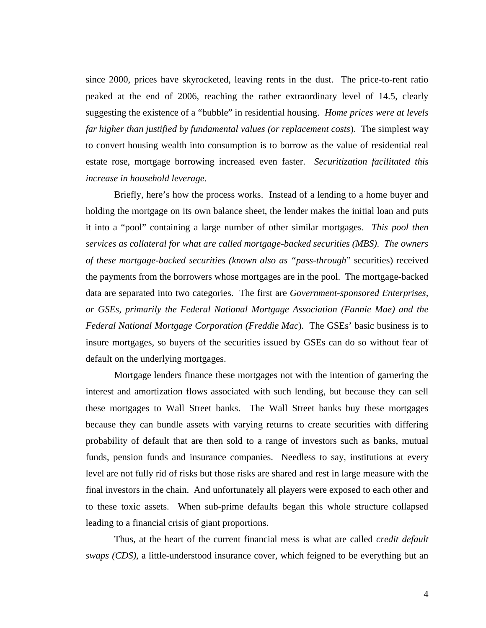since 2000, prices have skyrocketed, leaving rents in the dust. The price-to-rent ratio peaked at the end of 2006, reaching the rather extraordinary level of 14.5, clearly suggesting the existence of a "bubble" in residential housing. *Home prices were at levels far higher than justified by fundamental values (or replacement costs*). The simplest way to convert housing wealth into consumption is to borrow as the value of residential real estate rose, mortgage borrowing increased even faster. *Securitization facilitated this increase in household leverage*.

Briefly, here's how the process works. Instead of a lending to a home buyer and holding the mortgage on its own balance sheet, the lender makes the initial loan and puts it into a "pool" containing a large number of other similar mortgages. *This pool then services as collateral for what are called mortgage-backed securities (MBS). The owners of these mortgage-backed securities (known also as "pass-through*" securities) received the payments from the borrowers whose mortgages are in the pool. The mortgage-backed data are separated into two categories. The first are *Government-sponsored Enterprises, or GSEs, primarily the Federal National Mortgage Association (Fannie Mae) and the Federal National Mortgage Corporation (Freddie Mac*). The GSEs' basic business is to insure mortgages, so buyers of the securities issued by GSEs can do so without fear of default on the underlying mortgages.

Mortgage lenders finance these mortgages not with the intention of garnering the interest and amortization flows associated with such lending, but because they can sell these mortgages to Wall Street banks. The Wall Street banks buy these mortgages because they can bundle assets with varying returns to create securities with differing probability of default that are then sold to a range of investors such as banks, mutual funds, pension funds and insurance companies. Needless to say, institutions at every level are not fully rid of risks but those risks are shared and rest in large measure with the final investors in the chain. And unfortunately all players were exposed to each other and to these toxic assets. When sub-prime defaults began this whole structure collapsed leading to a financial crisis of giant proportions.

Thus, at the heart of the current financial mess is what are called *credit default swaps (CDS)*, a little-understood insurance cover, which feigned to be everything but an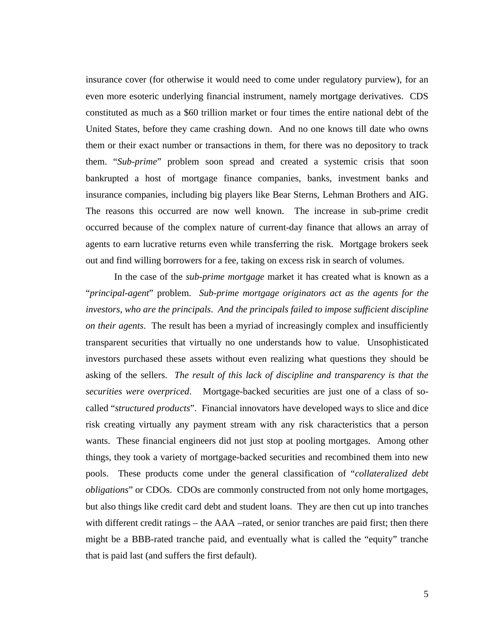insurance cover (for otherwise it would need to come under regulatory purview), for an even more esoteric underlying financial instrument, namely mortgage derivatives. CDS constituted as much as a \$60 trillion market or four times the entire national debt of the United States, before they came crashing down. And no one knows till date who owns them or their exact number or transactions in them, for there was no depository to track them. "*Sub-prime*" problem soon spread and created a systemic crisis that soon bankrupted a host of mortgage finance companies, banks, investment banks and insurance companies, including big players like Bear Sterns, Lehman Brothers and AIG. The reasons this occurred are now well known. The increase in sub-prime credit occurred because of the complex nature of current-day finance that allows an array of agents to earn lucrative returns even while transferring the risk. Mortgage brokers seek out and find willing borrowers for a fee, taking on excess risk in search of volumes.

In the case of the *sub-prime mortgage* market it has created what is known as a "*principal-agent*" problem. *Sub-prime mortgage originators act as the agents for the investors, who are the principals*. *And the principals failed to impose sufficient discipline on their agents*. The result has been a myriad of increasingly complex and insufficiently transparent securities that virtually no one understands how to value. Unsophisticated investors purchased these assets without even realizing what questions they should be asking of the sellers. *The result of this lack of discipline and transparency is that the securities were overpriced*. Mortgage-backed securities are just one of a class of socalled "*structured products*". Financial innovators have developed ways to slice and dice risk creating virtually any payment stream with any risk characteristics that a person wants. These financial engineers did not just stop at pooling mortgages. Among other things, they took a variety of mortgage-backed securities and recombined them into new pools. These products come under the general classification of "*collateralized debt obligations*" or CDOs. CDOs are commonly constructed from not only home mortgages, but also things like credit card debt and student loans. They are then cut up into tranches with different credit ratings – the AAA –rated, or senior tranches are paid first; then there might be a BBB-rated tranche paid, and eventually what is called the "equity" tranche that is paid last (and suffers the first default).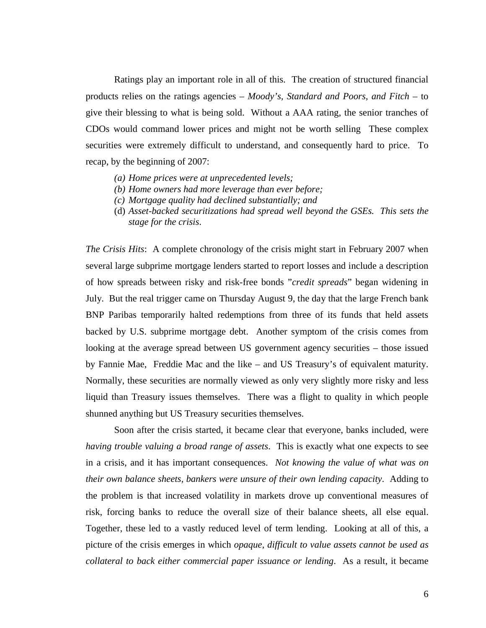Ratings play an important role in all of this. The creation of structured financial products relies on the ratings agencies – *Moody's, Standard and Poors, and Fitch* – to give their blessing to what is being sold. Without a AAA rating, the senior tranches of CDOs would command lower prices and might not be worth selling These complex securities were extremely difficult to understand, and consequently hard to price. To recap, by the beginning of 2007:

- *(a) Home prices were at unprecedented levels;*
- *(b) Home owners had more leverage than ever before;*
- *(c) Mortgage quality had declined substantially; and*
- (d) *Asset-backed securitizations had spread well beyond the GSEs. This sets the stage for the crisis*.

*The Crisis Hits*: A complete chronology of the crisis might start in February 2007 when several large subprime mortgage lenders started to report losses and include a description of how spreads between risky and risk-free bonds "*credit spreads*" began widening in July. But the real trigger came on Thursday August 9, the day that the large French bank BNP Paribas temporarily halted redemptions from three of its funds that held assets backed by U.S. subprime mortgage debt. Another symptom of the crisis comes from looking at the average spread between US government agency securities – those issued by Fannie Mae, Freddie Mac and the like – and US Treasury's of equivalent maturity. Normally, these securities are normally viewed as only very slightly more risky and less liquid than Treasury issues themselves. There was a flight to quality in which people shunned anything but US Treasury securities themselves.

Soon after the crisis started, it became clear that everyone, banks included, were *having trouble valuing a broad range of assets*. This is exactly what one expects to see in a crisis, and it has important consequences. *Not knowing the value of what was on their own balance sheets, bankers were unsure of their own lending capacity*. Adding to the problem is that increased volatility in markets drove up conventional measures of risk, forcing banks to reduce the overall size of their balance sheets, all else equal. Together, these led to a vastly reduced level of term lending. Looking at all of this, a picture of the crisis emerges in which *opaque, difficult to value assets cannot be used as collateral to back either commercial paper issuance or lending*. As a result, it became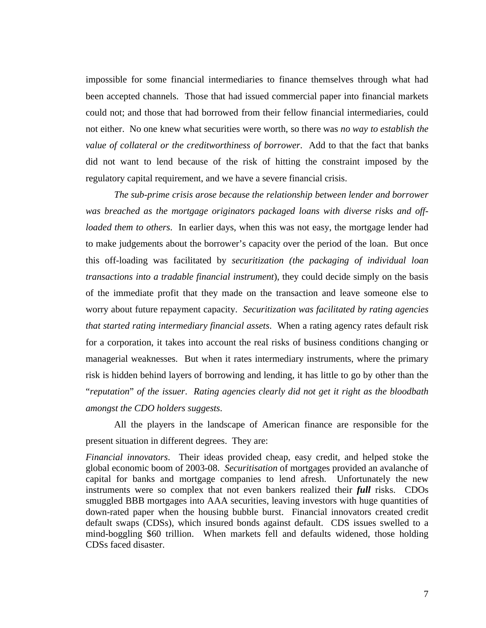impossible for some financial intermediaries to finance themselves through what had been accepted channels. Those that had issued commercial paper into financial markets could not; and those that had borrowed from their fellow financial intermediaries, could not either. No one knew what securities were worth, so there was *no way to establish the value of collateral or the creditworthiness of borrower*. Add to that the fact that banks did not want to lend because of the risk of hitting the constraint imposed by the regulatory capital requirement, and we have a severe financial crisis.

*The sub-prime crisis arose because the relationship between lender and borrower was breached as the mortgage originators packaged loans with diverse risks and offloaded them to others*. In earlier days, when this was not easy, the mortgage lender had to make judgements about the borrower's capacity over the period of the loan. But once this off-loading was facilitated by *securitization (the packaging of individual loan transactions into a tradable financial instrument*), they could decide simply on the basis of the immediate profit that they made on the transaction and leave someone else to worry about future repayment capacity. *Securitization was facilitated by rating agencies that started rating intermediary financial assets*. When a rating agency rates default risk for a corporation, it takes into account the real risks of business conditions changing or managerial weaknesses. But when it rates intermediary instruments, where the primary risk is hidden behind layers of borrowing and lending, it has little to go by other than the "*reputation*" *of the issuer*. *Rating agencies clearly did not get it right as the bloodbath amongst the CDO holders suggests*.

All the players in the landscape of American finance are responsible for the present situation in different degrees. They are:

*Financial innovators*. Their ideas provided cheap, easy credit, and helped stoke the global economic boom of 2003-08. *Securitisation* of mortgages provided an avalanche of capital for banks and mortgage companies to lend afresh. Unfortunately the new instruments were so complex that not even bankers realized their *full* risks. CDOs smuggled BBB mortgages into AAA securities, leaving investors with huge quantities of down-rated paper when the housing bubble burst. Financial innovators created credit default swaps (CDSs), which insured bonds against default. CDS issues swelled to a mind-boggling \$60 trillion. When markets fell and defaults widened, those holding CDSs faced disaster.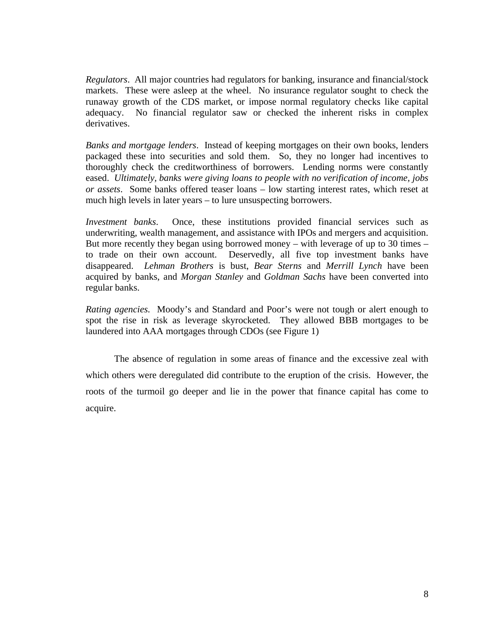*Regulators*. All major countries had regulators for banking, insurance and financial/stock markets. These were asleep at the wheel. No insurance regulator sought to check the runaway growth of the CDS market, or impose normal regulatory checks like capital adequacy. No financial regulator saw or checked the inherent risks in complex derivatives.

*Banks and mortgage lenders*. Instead of keeping mortgages on their own books, lenders packaged these into securities and sold them. So, they no longer had incentives to thoroughly check the creditworthiness of borrowers. Lending norms were constantly eased. *Ultimately, banks were giving loans to people with no verification of income, jobs or assets*. Some banks offered teaser loans – low starting interest rates, which reset at much high levels in later years – to lure unsuspecting borrowers.

*Investment banks*. Once, these institutions provided financial services such as underwriting, wealth management, and assistance with IPOs and mergers and acquisition. But more recently they began using borrowed money – with leverage of up to 30 times – to trade on their own account. Deservedly, all five top investment banks have disappeared. *Lehman Brothers* is bust, *Bear Sterns* and *Merrill Lynch* have been acquired by banks, and *Morgan Stanley* and *Goldman Sachs* have been converted into regular banks.

*Rating agencies*. Moody's and Standard and Poor's were not tough or alert enough to spot the rise in risk as leverage skyrocketed. They allowed BBB mortgages to be laundered into AAA mortgages through CDOs (see Figure 1)

The absence of regulation in some areas of finance and the excessive zeal with which others were deregulated did contribute to the eruption of the crisis. However, the roots of the turmoil go deeper and lie in the power that finance capital has come to acquire.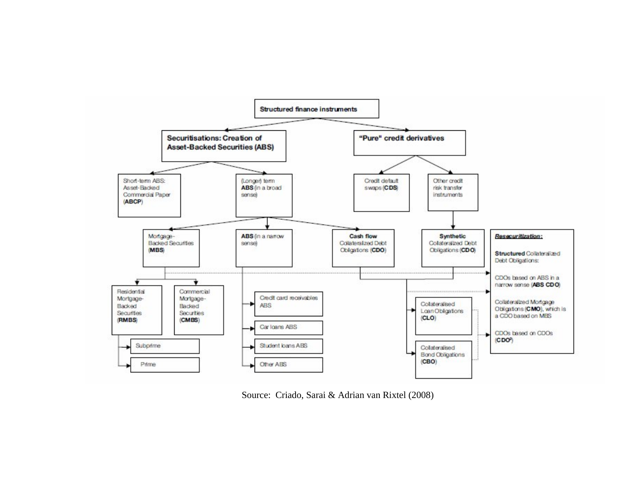

Source: Criado, Sarai & Adrian van Rixtel (2008)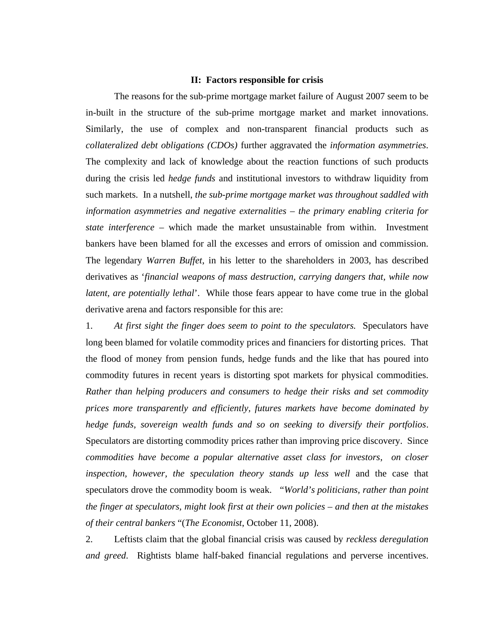#### **II: Factors responsible for crisis**

The reasons for the sub-prime mortgage market failure of August 2007 seem to be in-built in the structure of the sub-prime mortgage market and market innovations. Similarly, the use of complex and non-transparent financial products such as *collateralized debt obligations (CDOs)* further aggravated the *information asymmetries*. The complexity and lack of knowledge about the reaction functions of such products during the crisis led *hedge funds* and institutional investors to withdraw liquidity from such markets. In a nutshell, *the sub-prime mortgage market was throughout saddled with information asymmetries and negative externalities – the primary enabling criteria for state interference* – which made the market unsustainable from within. Investment bankers have been blamed for all the excesses and errors of omission and commission. The legendary *Warren Buffet*, in his letter to the shareholders in 2003, has described derivatives as '*financial weapons of mass destruction, carrying dangers that, while now latent, are potentially lethal*'. While those fears appear to have come true in the global derivative arena and factors responsible for this are:

1. *At first sight the finger does seem to point to the speculators.* Speculators have long been blamed for volatile commodity prices and financiers for distorting prices. That the flood of money from pension funds, hedge funds and the like that has poured into commodity futures in recent years is distorting spot markets for physical commodities. *Rather than helping producers and consumers to hedge their risks and set commodity prices more transparently and efficiently, futures markets have become dominated by hedge funds, sovereign wealth funds and so on seeking to diversify their portfolios*. Speculators are distorting commodity prices rather than improving price discovery. Since *commodities have become a popular alternative asset class for investors*, *on closer inspection, however, the speculation theory stands up less well* and the case that speculators drove the commodity boom is weak. "*World's politicians, rather than point the finger at speculators, might look first at their own policies – and then at the mistakes of their central bankers* "(*The Economist*, October 11, 2008).

2. Leftists claim that the global financial crisis was caused by *reckless deregulation and greed*. Rightists blame half-baked financial regulations and perverse incentives.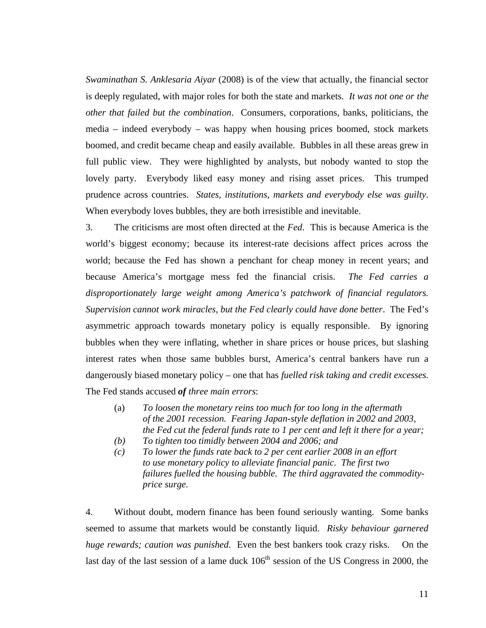*Swaminathan S. Anklesaria Aiyar* (2008) is of the view that actually, the financial sector is deeply regulated, with major roles for both the state and markets. *It was not one or the other that failed but the combination*. Consumers, corporations, banks, politicians, the media – indeed everybody – was happy when housing prices boomed, stock markets boomed, and credit became cheap and easily available. Bubbles in all these areas grew in full public view. They were highlighted by analysts, but nobody wanted to stop the lovely party. Everybody liked easy money and rising asset prices. This trumped prudence across countries. *States, institutions, markets and everybody else was guilty*. When everybody loves bubbles, they are both irresistible and inevitable.

3. The criticisms are most often directed at the *Fed*. This is because America is the world's biggest economy; because its interest-rate decisions affect prices across the world; because the Fed has shown a penchant for cheap money in recent years; and because America's mortgage mess fed the financial crisis. *The Fed carries a disproportionately large weight among America's patchwork of financial regulators. Supervision cannot work miracles, but the Fed clearly could have done better*. The Fed's asymmetric approach towards monetary policy is equally responsible. By ignoring bubbles when they were inflating, whether in share prices or house prices, but slashing interest rates when those same bubbles burst, America's central bankers have run a dangerously biased monetary policy – one that has *fuelled risk taking and credit excesses*. The Fed stands accused *of three main errors*:

- (a) *To loosen the monetary reins too much for too long in the aftermath of the 2001 recession. Fearing Japan-style deflation in 2002 and 2003, the Fed cut the federal funds rate to 1 per cent and left it there for a year;*
- *(b) To tighten too timidly between 2004 and 2006; and*
- *(c) To lower the funds rate back to 2 per cent earlier 2008 in an effort to use monetary policy to alleviate financial panic. The first two failures fuelled the housing bubble. The third aggravated the commodityprice surge.*

4. Without doubt, modern finance has been found seriously wanting. Some banks seemed to assume that markets would be constantly liquid. *Risky behaviour garnered huge rewards; caution was punished*. Even the best bankers took crazy risks. On the last day of the last session of a lame duck  $106<sup>th</sup>$  session of the US Congress in 2000, the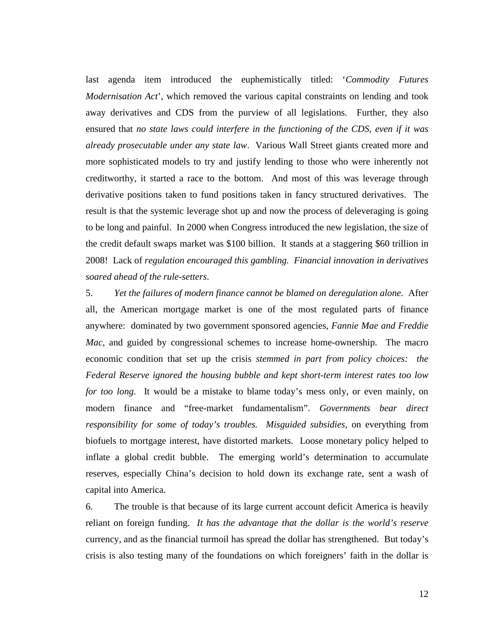last agenda item introduced the euphemistically titled: '*Commodity Futures Modernisation Act*', which removed the various capital constraints on lending and took away derivatives and CDS from the purview of all legislations. Further, they also ensured that *no state laws could interfere in the functioning of the CDS, even if it was already prosecutable under any state law*. Various Wall Street giants created more and more sophisticated models to try and justify lending to those who were inherently not creditworthy, it started a race to the bottom. And most of this was leverage through derivative positions taken to fund positions taken in fancy structured derivatives. The result is that the systemic leverage shot up and now the process of deleveraging is going to be long and painful. In 2000 when Congress introduced the new legislation, the size of the credit default swaps market was \$100 billion. It stands at a staggering \$60 trillion in 2008! Lack of *regulation encouraged this gambling. Financial innovation in derivatives soared ahead of the rule-setters*.

5. *Yet the failures of modern finance cannot be blamed on deregulation alone.* After all, the American mortgage market is one of the most regulated parts of finance anywhere: dominated by two government sponsored agencies, *Fannie Mae and Freddie Mac*, and guided by congressional schemes to increase home-ownership. The macro economic condition that set up the crisis *stemmed in part from policy choices: the Federal Reserve ignored the housing bubble and kept short-term interest rates too low for too long.* It would be a mistake to blame today's mess only, or even mainly, on modern finance and "free-market fundamentalism". *Governments bear direct responsibility for some of today's troubles. Misguided subsidies*, on everything from biofuels to mortgage interest, have distorted markets. Loose monetary policy helped to inflate a global credit bubble. The emerging world's determination to accumulate reserves, especially China's decision to hold down its exchange rate, sent a wash of capital into America.

6. The trouble is that because of its large current account deficit America is heavily reliant on foreign funding. *It has the advantage that the dollar is the world's reserve* currency, and as the financial turmoil has spread the dollar has strengthened. But today's crisis is also testing many of the foundations on which foreigners' faith in the dollar is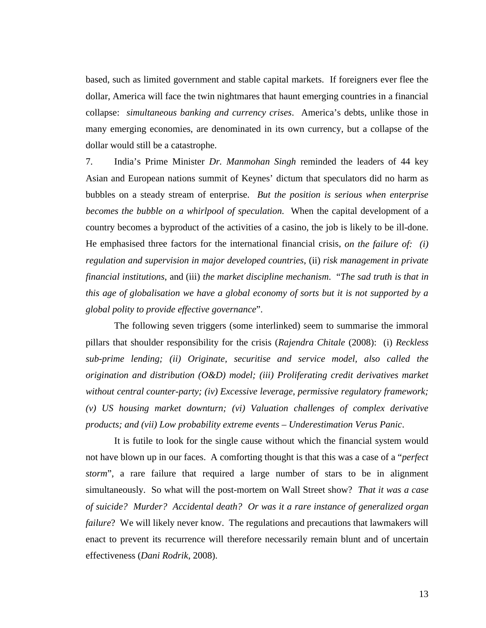based, such as limited government and stable capital markets. If foreigners ever flee the dollar, America will face the twin nightmares that haunt emerging countries in a financial collapse: *simultaneous banking and currency crises*. America's debts, unlike those in many emerging economies, are denominated in its own currency, but a collapse of the dollar would still be a catastrophe.

7. India's Prime Minister *Dr. Manmohan Singh* reminded the leaders of 44 key Asian and European nations summit of Keynes' dictum that speculators did no harm as bubbles on a steady stream of enterprise. *But the position is serious when enterprise becomes the bubble on a whirlpool of speculation*. When the capital development of a country becomes a byproduct of the activities of a casino, the job is likely to be ill-done. He emphasised three factors for the international financial crisis, *on the failure of: (i) regulation and supervision in major developed countries*, (ii) *risk management in private financial institutions*, and (iii) *the market discipline mechanism*. "*The sad truth is that in this age of globalisation we have a global economy of sorts but it is not supported by a global polity to provide effective governance*".

The following seven triggers (some interlinked) seem to summarise the immoral pillars that shoulder responsibility for the crisis (*Rajendra Chitale* (2008): (i) *Reckless sub-prime lending; (ii) Originate, securitise and service model, also called the origination and distribution (O&D) model; (iii) Proliferating credit derivatives market without central counter-party; (iv) Excessive leverage, permissive regulatory framework; (v) US housing market downturn; (vi) Valuation challenges of complex derivative products; and (vii) Low probability extreme events* – *Underestimation Verus Panic*.

It is futile to look for the single cause without which the financial system would not have blown up in our faces. A comforting thought is that this was a case of a "*perfect storm*", a rare failure that required a large number of stars to be in alignment simultaneously. So what will the post-mortem on Wall Street show? *That it was a case of suicide? Murder? Accidental death? Or was it a rare instance of generalized organ failure*? We will likely never know. The regulations and precautions that lawmakers will enact to prevent its recurrence will therefore necessarily remain blunt and of uncertain effectiveness (*Dani Rodrik*, 2008).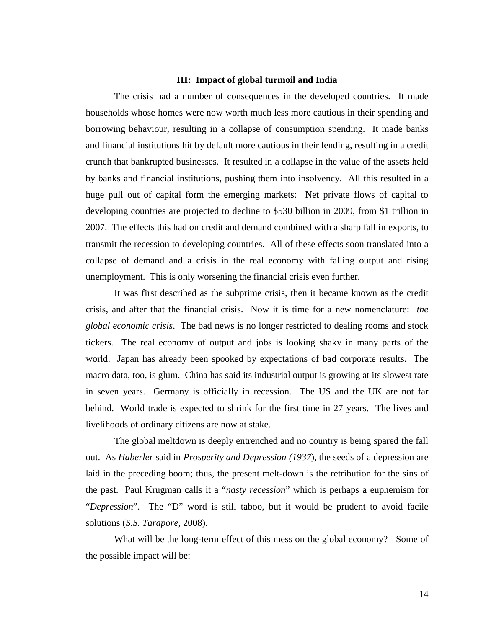#### **III: Impact of global turmoil and India**

The crisis had a number of consequences in the developed countries. It made households whose homes were now worth much less more cautious in their spending and borrowing behaviour, resulting in a collapse of consumption spending. It made banks and financial institutions hit by default more cautious in their lending, resulting in a credit crunch that bankrupted businesses. It resulted in a collapse in the value of the assets held by banks and financial institutions, pushing them into insolvency. All this resulted in a huge pull out of capital form the emerging markets: Net private flows of capital to developing countries are projected to decline to \$530 billion in 2009, from \$1 trillion in 2007. The effects this had on credit and demand combined with a sharp fall in exports, to transmit the recession to developing countries. All of these effects soon translated into a collapse of demand and a crisis in the real economy with falling output and rising unemployment. This is only worsening the financial crisis even further.

It was first described as the subprime crisis, then it became known as the credit crisis, and after that the financial crisis. Now it is time for a new nomenclature: *the global economic crisis*. The bad news is no longer restricted to dealing rooms and stock tickers. The real economy of output and jobs is looking shaky in many parts of the world. Japan has already been spooked by expectations of bad corporate results. The macro data, too, is glum. China has said its industrial output is growing at its slowest rate in seven years. Germany is officially in recession. The US and the UK are not far behind. World trade is expected to shrink for the first time in 27 years. The lives and livelihoods of ordinary citizens are now at stake.

The global meltdown is deeply entrenched and no country is being spared the fall out. As *Haberler* said in *Prosperity and Depression (1937*), the seeds of a depression are laid in the preceding boom; thus, the present melt-down is the retribution for the sins of the past. Paul Krugman calls it a "*nasty recession*" which is perhaps a euphemism for "*Depression*". The "D" word is still taboo, but it would be prudent to avoid facile solutions (*S.S. Tarapore*, 2008).

What will be the long-term effect of this mess on the global economy? Some of the possible impact will be: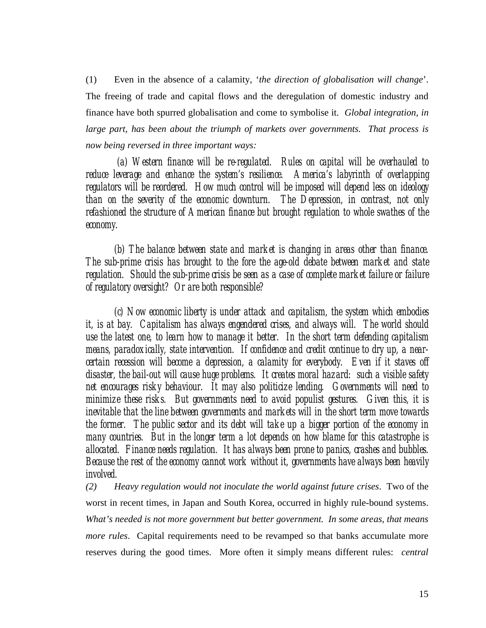(1) Even in the absence of a calamity, '*the direction of globalisation will change*'. The freeing of trade and capital flows and the deregulation of domestic industry and finance have both spurred globalisation and come to symbolise it. *Global integration, in large part, has been about the triumph of markets over governments. That process is now being reversed in three important ways:*

 *(a) Western finance will be re-regulated. Rules on capital will be overhauled to reduce leverage and enhance the system's resilience. America's labyrinth of overlapping*  regulators will be reordered. How much control will be imposed will depend less on ideology *than on the severity of the economic downturn. The Depression, in contrast, not only refashioned the structure of American finance but brought regulation to whole swathes of the economy.*

*(b) The balance between state and market is changing in areas other than finance. The sub-prime crisis has brought to the fore the age-old debate between market and state regulation. Should the sub-prime crisis be seen as a case of complete market failure or failure of regulatory oversight? Or are both responsible?* 

*(c) Now economic liberty is under attack and capitalism, the system which embodies*  it, is at bay. Capitalism has always engendered crises, and always will. The world should *use the latest one, to learn how to manage it better. In the short term defending capitalism means, paradoxically, state intervention. If confidence and credit continue to dry up, a nearcertain recession will become a depression, a calamity for everybody. Even if it staves off disaster, the bail-out will cause huge problems. It creates moral hazard: such a visible safety net encourages risky behaviour. It may also politicize lending. Governments will need to minimize these risks. But governments need to avoid populist gestures. Given this, it is inevitable that the line between governments and markets will in the short term move towards the former. The public sector and its debt will take up a bigger portion of the economy in many countries. But in the longer term a lot depends on how blame for this catastrophe is allocated. Finance needs regulation. It has always been prone to panics, crashes and bubbles. Because the rest of the economy cannot work without it, governments have always been heavily involved.* 

*(2) Heavy regulation would not inoculate the world against future crises*. Two of the worst in recent times, in Japan and South Korea, occurred in highly rule-bound systems. *What's needed is not more government but better government. In some areas, that means more rules*. Capital requirements need to be revamped so that banks accumulate more reserves during the good times. More often it simply means different rules: *central*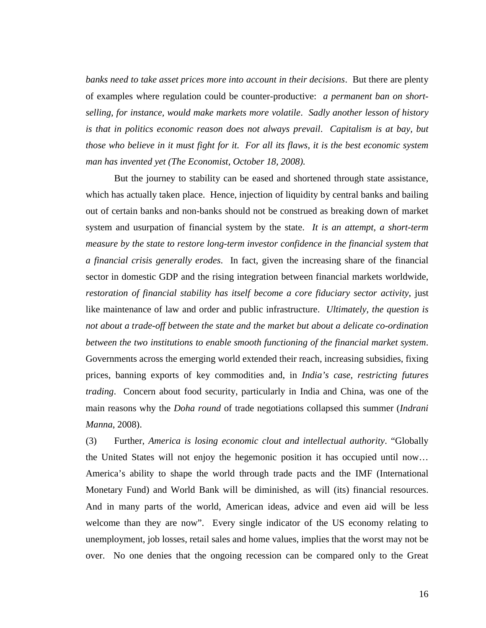*banks need to take asset prices more into account in their decisions*. But there are plenty of examples where regulation could be counter-productive: *a permanent ban on shortselling, for instance, would make markets more volatile*. *Sadly another lesson of history is that in politics economic reason does not always prevail*. *Capitalism is at bay, but those who believe in it must fight for it. For all its flaws, it is the best economic system man has invented yet (The Economist, October 18, 2008)*.

But the journey to stability can be eased and shortened through state assistance, which has actually taken place. Hence, injection of liquidity by central banks and bailing out of certain banks and non-banks should not be construed as breaking down of market system and usurpation of financial system by the state. *It is an attempt, a short-term measure by the state to restore long-term investor confidence in the financial system that a financial crisis generally erodes*. In fact, given the increasing share of the financial sector in domestic GDP and the rising integration between financial markets worldwide, *restoration of financial stability has itself become a core fiduciary sector activity*, just like maintenance of law and order and public infrastructure. *Ultimately, the question is not about a trade-off between the state and the market but about a delicate co-ordination between the two institutions to enable smooth functioning of the financial market system*. Governments across the emerging world extended their reach, increasing subsidies, fixing prices, banning exports of key commodities and, in *India's case, restricting futures trading*. Concern about food security, particularly in India and China, was one of the main reasons why the *Doha round* of trade negotiations collapsed this summer (*Indrani Manna*, 2008).

(3) Further, *America is losing economic clout and intellectual authority*. "Globally the United States will not enjoy the hegemonic position it has occupied until now… America's ability to shape the world through trade pacts and the IMF (International Monetary Fund) and World Bank will be diminished, as will (its) financial resources. And in many parts of the world, American ideas, advice and even aid will be less welcome than they are now". Every single indicator of the US economy relating to unemployment, job losses, retail sales and home values, implies that the worst may not be over. No one denies that the ongoing recession can be compared only to the Great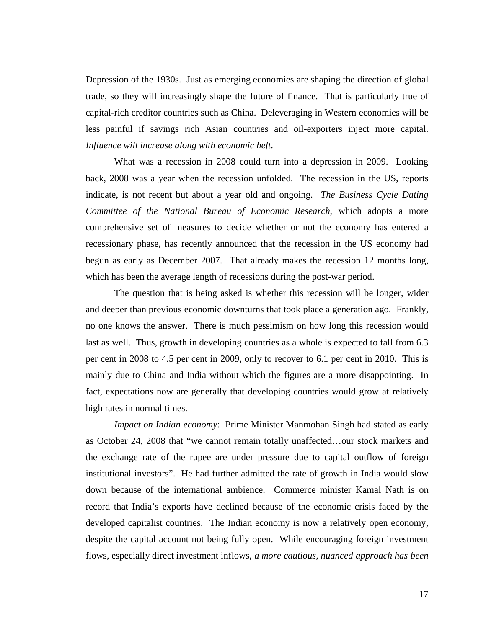Depression of the 1930s. Just as emerging economies are shaping the direction of global trade, so they will increasingly shape the future of finance. That is particularly true of capital-rich creditor countries such as China. Deleveraging in Western economies will be less painful if savings rich Asian countries and oil-exporters inject more capital. *Influence will increase along with economic heft*.

What was a recession in 2008 could turn into a depression in 2009. Looking back, 2008 was a year when the recession unfolded. The recession in the US, reports indicate, is not recent but about a year old and ongoing. *The Business Cycle Dating Committee of the National Bureau of Economic Research*, which adopts a more comprehensive set of measures to decide whether or not the economy has entered a recessionary phase, has recently announced that the recession in the US economy had begun as early as December 2007. That already makes the recession 12 months long, which has been the average length of recessions during the post-war period.

The question that is being asked is whether this recession will be longer, wider and deeper than previous economic downturns that took place a generation ago. Frankly, no one knows the answer. There is much pessimism on how long this recession would last as well. Thus, growth in developing countries as a whole is expected to fall from 6.3 per cent in 2008 to 4.5 per cent in 2009, only to recover to 6.1 per cent in 2010. This is mainly due to China and India without which the figures are a more disappointing. In fact, expectations now are generally that developing countries would grow at relatively high rates in normal times.

*Impact on Indian economy*: Prime Minister Manmohan Singh had stated as early as October 24, 2008 that "we cannot remain totally unaffected…our stock markets and the exchange rate of the rupee are under pressure due to capital outflow of foreign institutional investors". He had further admitted the rate of growth in India would slow down because of the international ambience. Commerce minister Kamal Nath is on record that India's exports have declined because of the economic crisis faced by the developed capitalist countries. The Indian economy is now a relatively open economy, despite the capital account not being fully open. While encouraging foreign investment flows, especially direct investment inflows, *a more cautious, nuanced approach has been*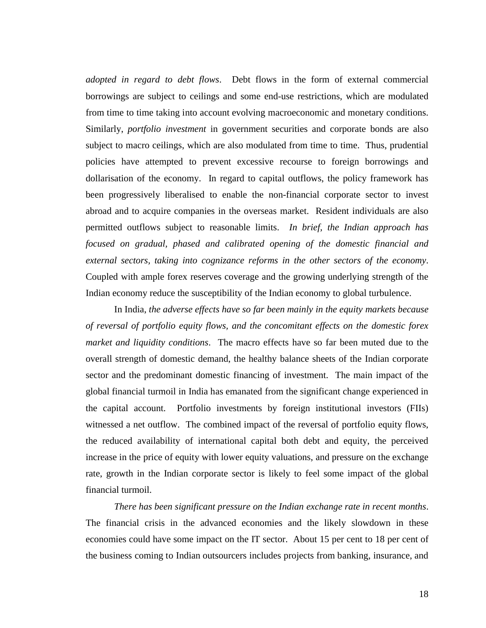*adopted in regard to debt flows*. Debt flows in the form of external commercial borrowings are subject to ceilings and some end-use restrictions, which are modulated from time to time taking into account evolving macroeconomic and monetary conditions. Similarly, *portfolio investment* in government securities and corporate bonds are also subject to macro ceilings, which are also modulated from time to time. Thus, prudential policies have attempted to prevent excessive recourse to foreign borrowings and dollarisation of the economy. In regard to capital outflows, the policy framework has been progressively liberalised to enable the non-financial corporate sector to invest abroad and to acquire companies in the overseas market. Resident individuals are also permitted outflows subject to reasonable limits. *In brief, the Indian approach has focused on gradual, phased and calibrated opening of the domestic financial and external sectors, taking into cognizance reforms in the other sectors of the economy*. Coupled with ample forex reserves coverage and the growing underlying strength of the Indian economy reduce the susceptibility of the Indian economy to global turbulence.

In India, *the adverse effects have so far been mainly in the equity markets because of reversal of portfolio equity flows, and the concomitant effects on the domestic forex market and liquidity conditions*. The macro effects have so far been muted due to the overall strength of domestic demand, the healthy balance sheets of the Indian corporate sector and the predominant domestic financing of investment. The main impact of the global financial turmoil in India has emanated from the significant change experienced in the capital account. Portfolio investments by foreign institutional investors (FIIs) witnessed a net outflow. The combined impact of the reversal of portfolio equity flows, the reduced availability of international capital both debt and equity, the perceived increase in the price of equity with lower equity valuations, and pressure on the exchange rate, growth in the Indian corporate sector is likely to feel some impact of the global financial turmoil.

*There has been significant pressure on the Indian exchange rate in recent months*. The financial crisis in the advanced economies and the likely slowdown in these economies could have some impact on the IT sector. About 15 per cent to 18 per cent of the business coming to Indian outsourcers includes projects from banking, insurance, and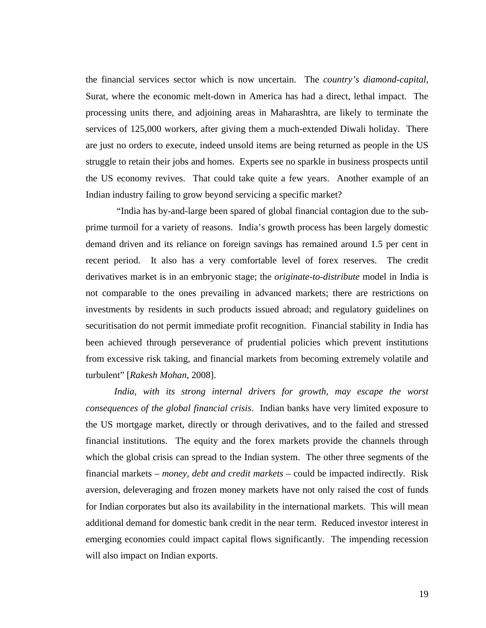the financial services sector which is now uncertain. The *country's diamond-capital*, Surat, where the economic melt-down in America has had a direct, lethal impact. The processing units there, and adjoining areas in Maharashtra, are likely to terminate the services of 125,000 workers, after giving them a much-extended Diwali holiday. There are just no orders to execute, indeed unsold items are being returned as people in the US struggle to retain their jobs and homes. Experts see no sparkle in business prospects until the US economy revives. That could take quite a few years. Another example of an Indian industry failing to grow beyond servicing a specific market?

"India has by-and-large been spared of global financial contagion due to the subprime turmoil for a variety of reasons. India's growth process has been largely domestic demand driven and its reliance on foreign savings has remained around 1.5 per cent in recent period. It also has a very comfortable level of forex reserves. The credit derivatives market is in an embryonic stage; the *originate-to-distribute* model in India is not comparable to the ones prevailing in advanced markets; there are restrictions on investments by residents in such products issued abroad; and regulatory guidelines on securitisation do not permit immediate profit recognition. Financial stability in India has been achieved through perseverance of prudential policies which prevent institutions from excessive risk taking, and financial markets from becoming extremely volatile and turbulent" [*Rakesh Mohan*, 2008].

*India, with its strong internal drivers for growth, may escape the worst consequences of the global financial crisis*. Indian banks have very limited exposure to the US mortgage market, directly or through derivatives, and to the failed and stressed financial institutions. The equity and the forex markets provide the channels through which the global crisis can spread to the Indian system. The other three segments of the financial markets – *money, debt and credit markets* – could be impacted indirectly. Risk aversion, deleveraging and frozen money markets have not only raised the cost of funds for Indian corporates but also its availability in the international markets. This will mean additional demand for domestic bank credit in the near term. Reduced investor interest in emerging economies could impact capital flows significantly. The impending recession will also impact on Indian exports.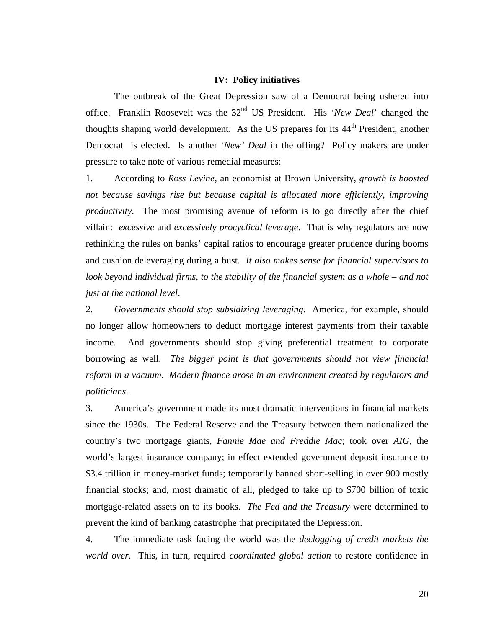#### **IV: Policy initiatives**

The outbreak of the Great Depression saw of a Democrat being ushered into office. Franklin Roosevelt was the 32nd US President. His '*New Deal*' changed the thoughts shaping world development. As the US prepares for its 44<sup>th</sup> President, another Democrat is elected. Is another '*New' Deal* in the offing? Policy makers are under pressure to take note of various remedial measures:

1. According to *Ross Levine*, an economist at Brown University, *growth is boosted not because savings rise but because capital is allocated more efficiently, improving productivity*. The most promising avenue of reform is to go directly after the chief villain: *excessive* and *excessively procyclical leverage*. That is why regulators are now rethinking the rules on banks' capital ratios to encourage greater prudence during booms and cushion deleveraging during a bust. *It also makes sense for financial supervisors to*  look beyond individual firms, to the stability of the financial system as a whole – and not *just at the national level*.

2. *Governments should stop subsidizing leveraging*. America, for example, should no longer allow homeowners to deduct mortgage interest payments from their taxable income. And governments should stop giving preferential treatment to corporate borrowing as well. *The bigger point is that governments should not view financial reform in a vacuum. Modern finance arose in an environment created by regulators and politicians*.

3. America's government made its most dramatic interventions in financial markets since the 1930s. The Federal Reserve and the Treasury between them nationalized the country's two mortgage giants, *Fannie Mae and Freddie Mac*; took over *AIG*, the world's largest insurance company; in effect extended government deposit insurance to \$3.4 trillion in money-market funds; temporarily banned short-selling in over 900 mostly financial stocks; and, most dramatic of all, pledged to take up to \$700 billion of toxic mortgage-related assets on to its books. *The Fed and the Treasury* were determined to prevent the kind of banking catastrophe that precipitated the Depression.

4. The immediate task facing the world was the *declogging of credit markets the world over*. This, in turn, required *coordinated global action* to restore confidence in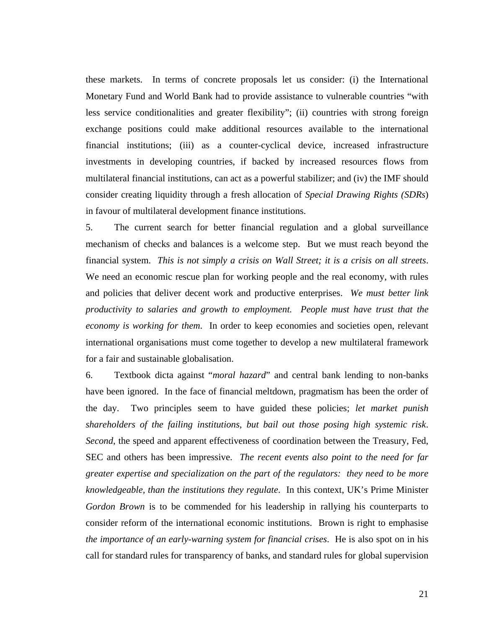these markets. In terms of concrete proposals let us consider: (i) the International Monetary Fund and World Bank had to provide assistance to vulnerable countries "with less service conditionalities and greater flexibility"; (ii) countries with strong foreign exchange positions could make additional resources available to the international financial institutions; (iii) as a counter-cyclical device, increased infrastructure investments in developing countries, if backed by increased resources flows from multilateral financial institutions, can act as a powerful stabilizer; and (iv) the IMF should consider creating liquidity through a fresh allocation of *Special Drawing Rights (SDRs*) in favour of multilateral development finance institutions.

5. The current search for better financial regulation and a global surveillance mechanism of checks and balances is a welcome step. But we must reach beyond the financial system. *This is not simply a crisis on Wall Street; it is a crisis on all streets*. We need an economic rescue plan for working people and the real economy, with rules and policies that deliver decent work and productive enterprises. *We must better link productivity to salaries and growth to employment. People must have trust that the economy is working for them*. In order to keep economies and societies open, relevant international organisations must come together to develop a new multilateral framework for a fair and sustainable globalisation.

6. Textbook dicta against "*moral hazard*" and central bank lending to non-banks have been ignored. In the face of financial meltdown, pragmatism has been the order of the day. Two principles seem to have guided these policies; *let market punish shareholders of the failing institutions, but bail out those posing high systemic risk*. *Second*, the speed and apparent effectiveness of coordination between the Treasury, Fed, SEC and others has been impressive. *The recent events also point to the need for far greater expertise and specialization on the part of the regulators: they need to be more knowledgeable, than the institutions they regulate*. In this context, UK's Prime Minister *Gordon Brown* is to be commended for his leadership in rallying his counterparts to consider reform of the international economic institutions. Brown is right to emphasise *the importance of an early-warning system for financial crises*. He is also spot on in his call for standard rules for transparency of banks, and standard rules for global supervision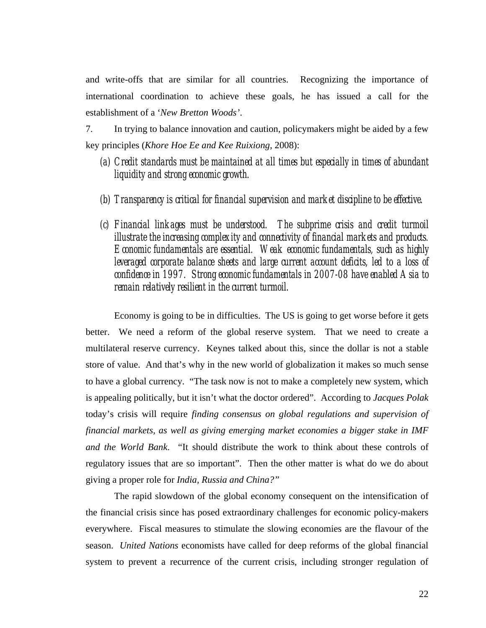and write-offs that are similar for all countries. Recognizing the importance of international coordination to achieve these goals, he has issued a call for the establishment of a '*New Bretton Woods'*.

7. In trying to balance innovation and caution, policymakers might be aided by a few key principles (*Khore Hoe Ee and Kee Ruixiong*, 2008):

- *(a) Credit standards must be maintained at all times but especially in times of abundant liquidity and strong economic growth.*
- *(b) Transparency is critical for financial supervision and market discipline to be effective.*
- *(c) Financial linkages must be understood. The subprime crisis and credit turmoil illustrate the increasing complexity and connectivity of financial markets and products. Economic fundamentals are essential. Weak economic fundamentals, such as highly leveraged corporate balance sheets and large current account deficits, led to a loss of confidence in 1997. Strong economic fundamentals in 2007-08 have enabled Asia to remain relatively resilient in the current turmoil.*

Economy is going to be in difficulties. The US is going to get worse before it gets better. We need a reform of the global reserve system. That we need to create a multilateral reserve currency. Keynes talked about this, since the dollar is not a stable store of value. And that's why in the new world of globalization it makes so much sense to have a global currency. "The task now is not to make a completely new system, which is appealing politically, but it isn't what the doctor ordered". According to *Jacques Polak* today's crisis will require *finding consensus on global regulations and supervision of financial markets, as well as giving emerging market economies a bigger stake in IMF and the World Bank*. "It should distribute the work to think about these controls of regulatory issues that are so important". Then the other matter is what do we do about giving a proper role for *India, Russia and China?"*

The rapid slowdown of the global economy consequent on the intensification of the financial crisis since has posed extraordinary challenges for economic policy-makers everywhere. Fiscal measures to stimulate the slowing economies are the flavour of the season. *United Nations* economists have called for deep reforms of the global financial system to prevent a recurrence of the current crisis, including stronger regulation of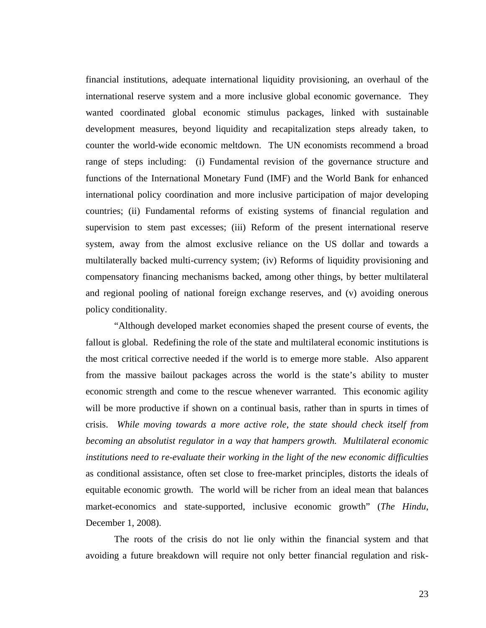financial institutions, adequate international liquidity provisioning, an overhaul of the international reserve system and a more inclusive global economic governance. They wanted coordinated global economic stimulus packages, linked with sustainable development measures, beyond liquidity and recapitalization steps already taken, to counter the world-wide economic meltdown. The UN economists recommend a broad range of steps including: (i) Fundamental revision of the governance structure and functions of the International Monetary Fund (IMF) and the World Bank for enhanced international policy coordination and more inclusive participation of major developing countries; (ii) Fundamental reforms of existing systems of financial regulation and supervision to stem past excesses; (iii) Reform of the present international reserve system, away from the almost exclusive reliance on the US dollar and towards a multilaterally backed multi-currency system; (iv) Reforms of liquidity provisioning and compensatory financing mechanisms backed, among other things, by better multilateral and regional pooling of national foreign exchange reserves, and (v) avoiding onerous policy conditionality.

"Although developed market economies shaped the present course of events, the fallout is global. Redefining the role of the state and multilateral economic institutions is the most critical corrective needed if the world is to emerge more stable. Also apparent from the massive bailout packages across the world is the state's ability to muster economic strength and come to the rescue whenever warranted. This economic agility will be more productive if shown on a continual basis, rather than in spurts in times of crisis. *While moving towards a more active role, the state should check itself from becoming an absolutist regulator in a way that hampers growth. Multilateral economic institutions need to re-evaluate their working in the light of the new economic difficulties* as conditional assistance, often set close to free-market principles, distorts the ideals of equitable economic growth. The world will be richer from an ideal mean that balances market-economics and state-supported, inclusive economic growth" (*The Hindu*, December 1, 2008).

The roots of the crisis do not lie only within the financial system and that avoiding a future breakdown will require not only better financial regulation and risk-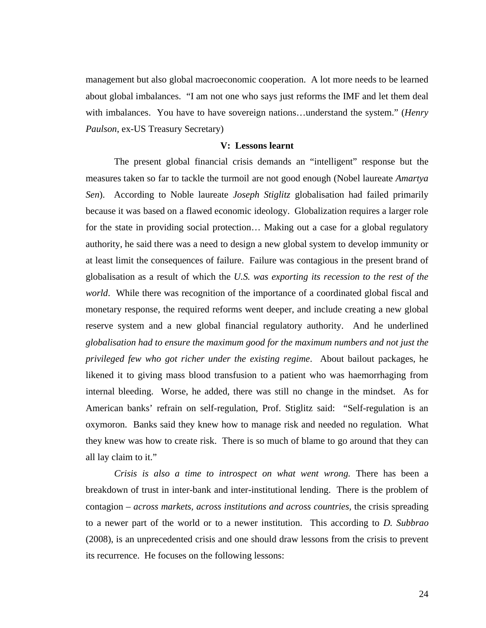management but also global macroeconomic cooperation. A lot more needs to be learned about global imbalances. "I am not one who says just reforms the IMF and let them deal with imbalances. You have to have sovereign nations…understand the system." (*Henry Paulson*, ex-US Treasury Secretary)

#### **V: Lessons learnt**

The present global financial crisis demands an "intelligent" response but the measures taken so far to tackle the turmoil are not good enough (Nobel laureate *Amartya Sen*). According to Noble laureate *Joseph Stiglitz* globalisation had failed primarily because it was based on a flawed economic ideology. Globalization requires a larger role for the state in providing social protection… Making out a case for a global regulatory authority, he said there was a need to design a new global system to develop immunity or at least limit the consequences of failure. Failure was contagious in the present brand of globalisation as a result of which the *U.S. was exporting its recession to the rest of the world*. While there was recognition of the importance of a coordinated global fiscal and monetary response, the required reforms went deeper, and include creating a new global reserve system and a new global financial regulatory authority. And he underlined *globalisation had to ensure the maximum good for the maximum numbers and not just the privileged few who got richer under the existing regime*. About bailout packages, he likened it to giving mass blood transfusion to a patient who was haemorrhaging from internal bleeding. Worse, he added, there was still no change in the mindset. As for American banks' refrain on self-regulation, Prof. Stiglitz said: "Self-regulation is an oxymoron. Banks said they knew how to manage risk and needed no regulation. What they knew was how to create risk. There is so much of blame to go around that they can all lay claim to it."

*Crisis is also a time to introspect on what went wrong.* There has been a breakdown of trust in inter-bank and inter-institutional lending. There is the problem of contagion – *across markets, across institutions and across countries,* the crisis spreading to a newer part of the world or to a newer institution. This according to *D. Subbrao* (2008), is an unprecedented crisis and one should draw lessons from the crisis to prevent its recurrence. He focuses on the following lessons: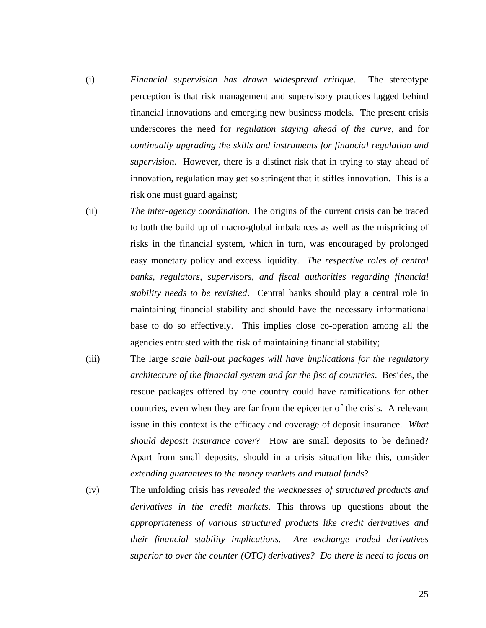- (i) *Financial supervision has drawn widespread critique*. The stereotype perception is that risk management and supervisory practices lagged behind financial innovations and emerging new business models. The present crisis underscores the need for *regulation staying ahead of the curve*, and for *continually upgrading the skills and instruments for financial regulation and supervision*. However, there is a distinct risk that in trying to stay ahead of innovation, regulation may get so stringent that it stifles innovation. This is a risk one must guard against;
- (ii) *The inter-agency coordination*. The origins of the current crisis can be traced to both the build up of macro-global imbalances as well as the mispricing of risks in the financial system, which in turn, was encouraged by prolonged easy monetary policy and excess liquidity. *The respective roles of central banks, regulators, supervisors, and fiscal authorities regarding financial stability needs to be revisited*. Central banks should play a central role in maintaining financial stability and should have the necessary informational base to do so effectively. This implies close co-operation among all the agencies entrusted with the risk of maintaining financial stability;
- (iii) The large *scale bail-out packages will have implications for the regulatory architecture of the financial system and for the fisc of countries*. Besides, the rescue packages offered by one country could have ramifications for other countries, even when they are far from the epicenter of the crisis. A relevant issue in this context is the efficacy and coverage of deposit insurance. *What should deposit insurance cover*? How are small deposits to be defined? Apart from small deposits, should in a crisis situation like this, consider *extending guarantees to the money markets and mutual funds*?
- (iv) The unfolding crisis has *revealed the weaknesses of structured products and derivatives in the credit markets*. This throws up questions about the *appropriateness of various structured products like credit derivatives and their financial stability implications. Are exchange traded derivatives superior to over the counter (OTC) derivatives? Do there is need to focus on*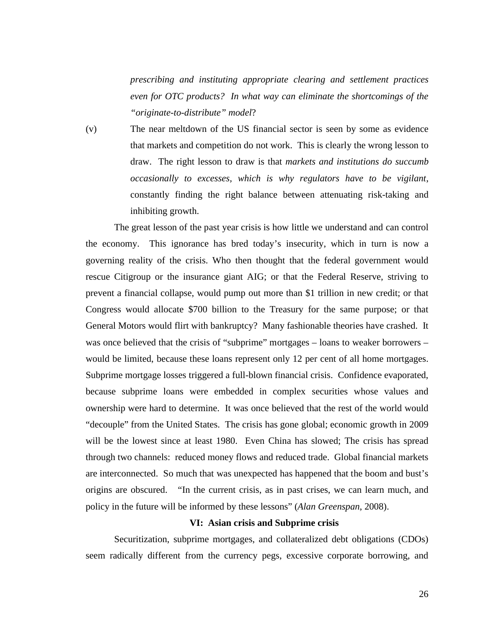*prescribing and instituting appropriate clearing and settlement practices even for OTC products? In what way can eliminate the shortcomings of the "originate-to-distribute" model*?

(v) The near meltdown of the US financial sector is seen by some as evidence that markets and competition do not work. This is clearly the wrong lesson to draw. The right lesson to draw is that *markets and institutions do succumb occasionally to excesses, which is why regulators have to be vigilant*, constantly finding the right balance between attenuating risk-taking and inhibiting growth.

The great lesson of the past year crisis is how little we understand and can control the economy. This ignorance has bred today's insecurity, which in turn is now a governing reality of the crisis. Who then thought that the federal government would rescue Citigroup or the insurance giant AIG; or that the Federal Reserve, striving to prevent a financial collapse, would pump out more than \$1 trillion in new credit; or that Congress would allocate \$700 billion to the Treasury for the same purpose; or that General Motors would flirt with bankruptcy? Many fashionable theories have crashed. It was once believed that the crisis of "subprime" mortgages – loans to weaker borrowers – would be limited, because these loans represent only 12 per cent of all home mortgages. Subprime mortgage losses triggered a full-blown financial crisis. Confidence evaporated, because subprime loans were embedded in complex securities whose values and ownership were hard to determine. It was once believed that the rest of the world would "decouple" from the United States. The crisis has gone global; economic growth in 2009 will be the lowest since at least 1980. Even China has slowed; The crisis has spread through two channels: reduced money flows and reduced trade. Global financial markets are interconnected. So much that was unexpected has happened that the boom and bust's origins are obscured. "In the current crisis, as in past crises, we can learn much, and policy in the future will be informed by these lessons" (*Alan Greenspan*, 2008).

#### **VI: Asian crisis and Subprime crisis**

Securitization, subprime mortgages, and collateralized debt obligations (CDOs) seem radically different from the currency pegs, excessive corporate borrowing, and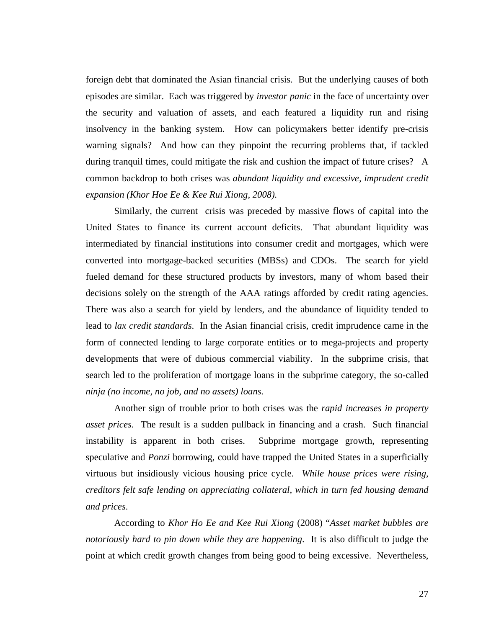foreign debt that dominated the Asian financial crisis. But the underlying causes of both episodes are similar. Each was triggered by *investor panic* in the face of uncertainty over the security and valuation of assets, and each featured a liquidity run and rising insolvency in the banking system. How can policymakers better identify pre-crisis warning signals? And how can they pinpoint the recurring problems that, if tackled during tranquil times, could mitigate the risk and cushion the impact of future crises? A common backdrop to both crises was *abundant liquidity and excessive, imprudent credit expansion (Khor Hoe Ee & Kee Rui Xiong, 2008).* 

Similarly, the current crisis was preceded by massive flows of capital into the United States to finance its current account deficits. That abundant liquidity was intermediated by financial institutions into consumer credit and mortgages, which were converted into mortgage-backed securities (MBSs) and CDOs. The search for yield fueled demand for these structured products by investors, many of whom based their decisions solely on the strength of the AAA ratings afforded by credit rating agencies. There was also a search for yield by lenders, and the abundance of liquidity tended to lead to *lax credit standards*. In the Asian financial crisis, credit imprudence came in the form of connected lending to large corporate entities or to mega-projects and property developments that were of dubious commercial viability. In the subprime crisis, that search led to the proliferation of mortgage loans in the subprime category, the so-called *ninja (no income, no job, and no assets) loans*.

Another sign of trouble prior to both crises was the *rapid increases in property asset prices*. The result is a sudden pullback in financing and a crash. Such financial instability is apparent in both crises. Subprime mortgage growth, representing speculative and *Ponzi* borrowing, could have trapped the United States in a superficially virtuous but insidiously vicious housing price cycle. *While house prices were rising, creditors felt safe lending on appreciating collateral, which in turn fed housing demand and prices*.

According to *Khor Ho Ee and Kee Rui Xiong* (2008) "*Asset market bubbles are notoriously hard to pin down while they are happening*. It is also difficult to judge the point at which credit growth changes from being good to being excessive. Nevertheless,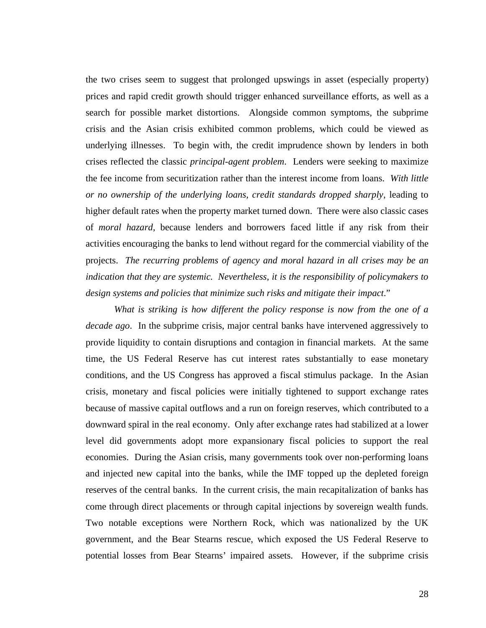the two crises seem to suggest that prolonged upswings in asset (especially property) prices and rapid credit growth should trigger enhanced surveillance efforts, as well as a search for possible market distortions. Alongside common symptoms, the subprime crisis and the Asian crisis exhibited common problems, which could be viewed as underlying illnesses. To begin with, the credit imprudence shown by lenders in both crises reflected the classic *principal-agent problem*. Lenders were seeking to maximize the fee income from securitization rather than the interest income from loans. *With little or no ownership of the underlying loans, credit standards dropped sharply*, leading to higher default rates when the property market turned down. There were also classic cases of *moral hazard*, because lenders and borrowers faced little if any risk from their activities encouraging the banks to lend without regard for the commercial viability of the projects. *The recurring problems of agency and moral hazard in all crises may be an indication that they are systemic. Nevertheless, it is the responsibility of policymakers to design systems and policies that minimize such risks and mitigate their impact*."

*What is striking is how different the policy response is now from the one of a decade ago*. In the subprime crisis, major central banks have intervened aggressively to provide liquidity to contain disruptions and contagion in financial markets. At the same time, the US Federal Reserve has cut interest rates substantially to ease monetary conditions, and the US Congress has approved a fiscal stimulus package. In the Asian crisis, monetary and fiscal policies were initially tightened to support exchange rates because of massive capital outflows and a run on foreign reserves, which contributed to a downward spiral in the real economy. Only after exchange rates had stabilized at a lower level did governments adopt more expansionary fiscal policies to support the real economies. During the Asian crisis, many governments took over non-performing loans and injected new capital into the banks, while the IMF topped up the depleted foreign reserves of the central banks. In the current crisis, the main recapitalization of banks has come through direct placements or through capital injections by sovereign wealth funds. Two notable exceptions were Northern Rock, which was nationalized by the UK government, and the Bear Stearns rescue, which exposed the US Federal Reserve to potential losses from Bear Stearns' impaired assets. However, if the subprime crisis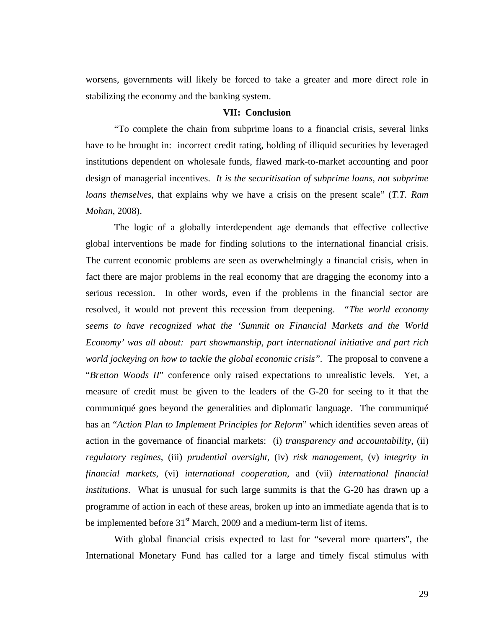worsens, governments will likely be forced to take a greater and more direct role in stabilizing the economy and the banking system.

#### **VII: Conclusion**

"To complete the chain from subprime loans to a financial crisis, several links have to be brought in: incorrect credit rating, holding of illiquid securities by leveraged institutions dependent on wholesale funds, flawed mark-to-market accounting and poor design of managerial incentives. *It is the securitisation of subprime loans, not subprime loans themselves*, that explains why we have a crisis on the present scale" (*T.T. Ram Mohan*, 2008).

The logic of a globally interdependent age demands that effective collective global interventions be made for finding solutions to the international financial crisis. The current economic problems are seen as overwhelmingly a financial crisis, when in fact there are major problems in the real economy that are dragging the economy into a serious recession. In other words, even if the problems in the financial sector are resolved, it would not prevent this recession from deepening. *"The world economy seems to have recognized what the 'Summit on Financial Markets and the World Economy' was all about: part showmanship, part international initiative and part rich world jockeying on how to tackle the global economic crisis".* The proposal to convene a "*Bretton Woods II*" conference only raised expectations to unrealistic levels. Yet, a measure of credit must be given to the leaders of the G-20 for seeing to it that the communiqué goes beyond the generalities and diplomatic language. The communiqué has an "*Action Plan to Implement Principles for Reform*" which identifies seven areas of action in the governance of financial markets: (i) *transparency and accountability*, (ii) *regulatory regimes*, (iii) *prudential oversight*, (iv) *risk management*, (v) *integrity in financial markets*, (vi) *international cooperation*, and (vii) *international financial institutions*. What is unusual for such large summits is that the G-20 has drawn up a programme of action in each of these areas, broken up into an immediate agenda that is to be implemented before  $31<sup>st</sup>$  March, 2009 and a medium-term list of items.

With global financial crisis expected to last for "several more quarters", the International Monetary Fund has called for a large and timely fiscal stimulus with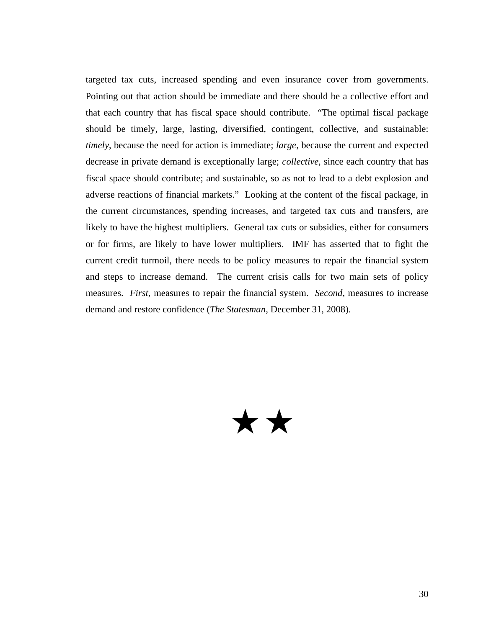targeted tax cuts, increased spending and even insurance cover from governments. Pointing out that action should be immediate and there should be a collective effort and that each country that has fiscal space should contribute. "The optimal fiscal package should be timely, large, lasting, diversified, contingent, collective, and sustainable: *timely*, because the need for action is immediate; *large*, because the current and expected decrease in private demand is exceptionally large; *collective*, since each country that has fiscal space should contribute; and sustainable, so as not to lead to a debt explosion and adverse reactions of financial markets." Looking at the content of the fiscal package, in the current circumstances, spending increases, and targeted tax cuts and transfers, are likely to have the highest multipliers. General tax cuts or subsidies, either for consumers or for firms, are likely to have lower multipliers. IMF has asserted that to fight the current credit turmoil, there needs to be policy measures to repair the financial system and steps to increase demand. The current crisis calls for two main sets of policy measures. *First*, measures to repair the financial system. *Second*, measures to increase demand and restore confidence (*The Statesman*, December 31, 2008).

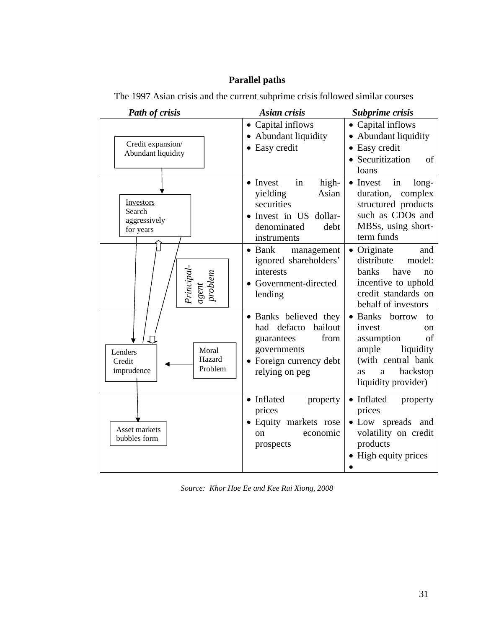## **Parallel paths**

| Path of crisis                                                | <b>Asian crisis</b>                                                                                                               | Subprime crisis                                                                                                                                               |
|---------------------------------------------------------------|-----------------------------------------------------------------------------------------------------------------------------------|---------------------------------------------------------------------------------------------------------------------------------------------------------------|
| Credit expansion/<br>Abundant liquidity                       | • Capital inflows<br>• Abundant liquidity<br>• Easy credit                                                                        | • Capital inflows<br>Abundant liquidity<br>Easy credit<br>Securitization<br>of<br>loans                                                                       |
| Investors<br>Search<br>aggressively<br>for years              | high-<br>• Invest<br>in<br>yielding<br>Asian<br>securities<br>• Invest in US<br>dollar-<br>denominated<br>debt<br>instruments     | • Invest<br>long-<br>in<br>complex<br>duration,<br>structured products<br>such as CDOs and<br>MBSs, using short-<br>term funds                                |
| Principal<br>problem<br>agent                                 | $\bullet$ Bank<br>management<br>ignored shareholders'<br>interests<br>• Government-directed<br>lending                            | Originate<br>and<br>distribute<br>model:<br>banks<br>have<br>no<br>incentive to uphold<br>credit standards on<br>behalf of investors                          |
| Moral<br>Lenders<br>Hazard<br>Credit<br>Problem<br>imprudence | • Banks believed they<br>had defacto<br>bailout<br>from<br>guarantees<br>governments<br>• Foreign currency debt<br>relying on peg | • Banks borrow<br>to<br>invest<br><sub>on</sub><br>οf<br>assumption<br>liquidity<br>ample<br>(with central bank<br>backstop<br>as<br>a<br>liquidity provider) |
| Asset markets<br>bubbles form                                 | • Inflated<br>property<br>prices<br>• Equity markets rose<br>economic<br>on<br>prospects                                          | • Inflated<br>property<br>prices<br>· Low spreads and<br>volatility on credit<br>products<br>High equity prices                                               |

The 1997 Asian crisis and the current subprime crisis followed similar courses

*Source: Khor Hoe Ee and Kee Rui Xiong, 2008*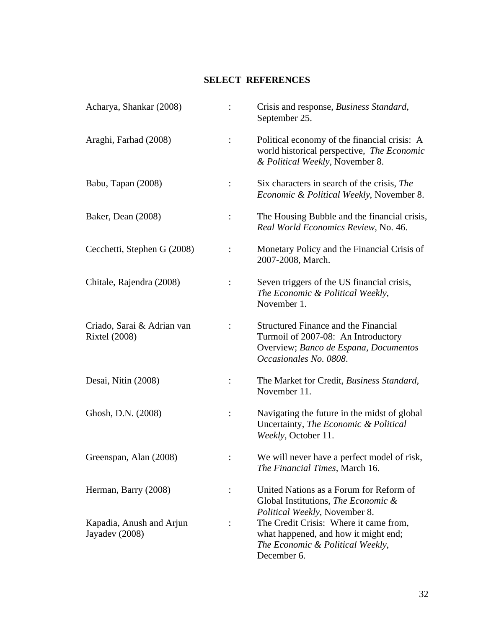### **SELECT REFERENCES**

| Acharya, Shankar (2008)                            | Crisis and response, Business Standard,<br>September 25.                                                                                                           |  |
|----------------------------------------------------|--------------------------------------------------------------------------------------------------------------------------------------------------------------------|--|
| Araghi, Farhad (2008)                              | Political economy of the financial crisis: A<br>world historical perspective, The Economic<br>& Political Weekly, November 8.                                      |  |
| Babu, Tapan (2008)                                 | Six characters in search of the crisis, The<br>Economic & Political Weekly, November 8.                                                                            |  |
| Baker, Dean (2008)                                 | The Housing Bubble and the financial crisis,<br>Real World Economics Review, No. 46.                                                                               |  |
| Cecchetti, Stephen G (2008)                        | Monetary Policy and the Financial Crisis of<br>2007-2008, March.                                                                                                   |  |
| Chitale, Rajendra (2008)                           | Seven triggers of the US financial crisis,<br>The Economic & Political Weekly,<br>November 1.                                                                      |  |
| Criado, Sarai & Adrian van<br><b>Rixtel</b> (2008) | <b>Structured Finance and the Financial</b><br>Turmoil of 2007-08: An Introductory<br>Overview; Banco de Espana, Documentos<br>Occasionales No. 0808.              |  |
| Desai, Nitin (2008)                                | The Market for Credit, Business Standard,<br>November 11.                                                                                                          |  |
| Ghosh, D.N. (2008)                                 | Navigating the future in the midst of global<br>Uncertainty, The Economic & Political<br>Weekly, October 11.                                                       |  |
| Greenspan, Alan (2008)                             | We will never have a perfect model of risk,<br>The Financial Times, March 16.                                                                                      |  |
| Herman, Barry (2008)                               | United Nations as a Forum for Reform of<br>Global Institutions, <i>The Economic &amp;</i>                                                                          |  |
| Kapadia, Anush and Arjun<br>Jayadev (2008)         | Political Weekly, November 8.<br>The Credit Crisis: Where it came from,<br>what happened, and how it might end;<br>The Economic & Political Weekly,<br>December 6. |  |